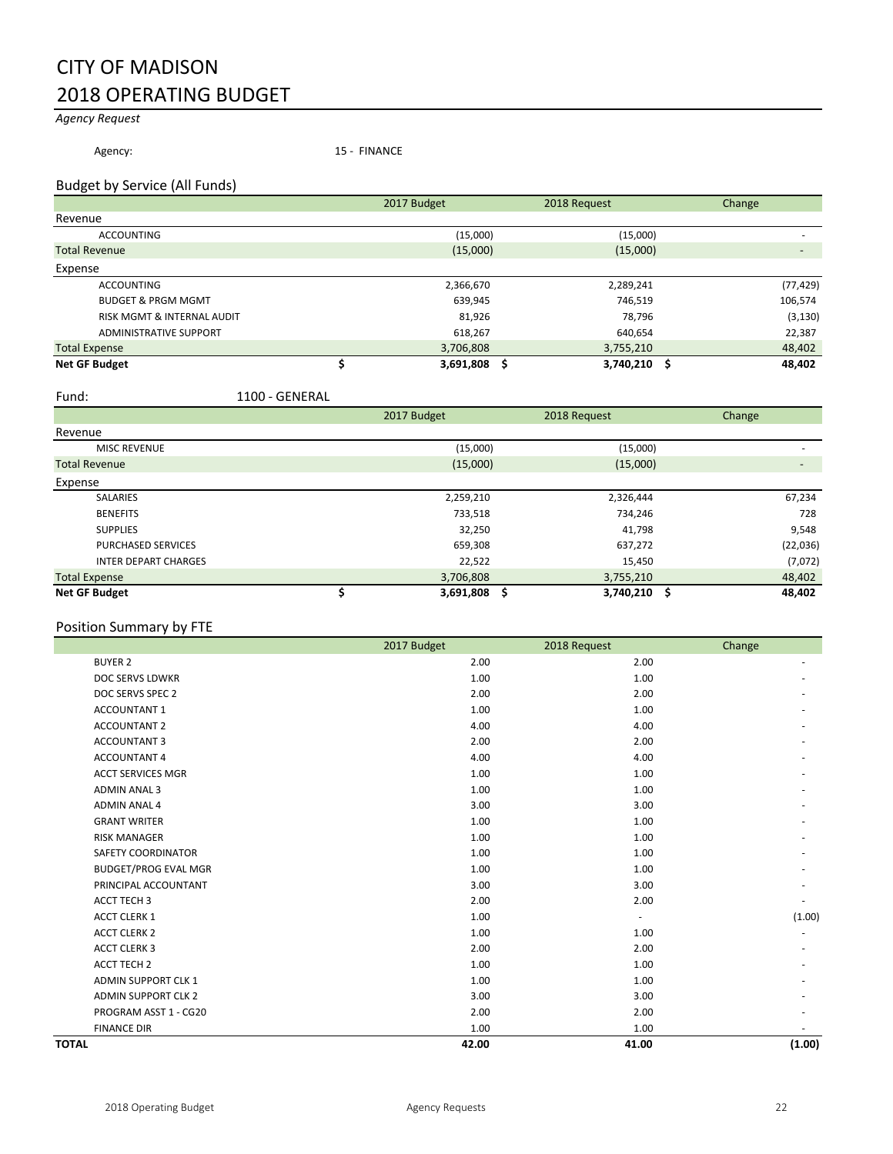# CITY OF MADISON 2018 OPERATING BUDGET

# *Agency Request*

Agency: 15 - FINANCE

# Budget by Service (All Funds)

|                                       | 2017 Budget | 2018 Request                 | Change    |
|---------------------------------------|-------------|------------------------------|-----------|
| Revenue                               |             |                              |           |
| <b>ACCOUNTING</b>                     |             | (15,000)<br>(15,000)         |           |
| <b>Total Revenue</b>                  |             | (15,000)<br>(15,000)         |           |
| Expense                               |             |                              |           |
| <b>ACCOUNTING</b>                     |             | 2,366,670<br>2,289,241       | (77, 429) |
| <b>BUDGET &amp; PRGM MGMT</b>         |             | 639,945<br>746,519           | 106,574   |
| <b>RISK MGMT &amp; INTERNAL AUDIT</b> |             | 81,926<br>78,796             | (3, 130)  |
| <b>ADMINISTRATIVE SUPPORT</b>         |             | 618,267<br>640,654           | 22,387    |
| <b>Total Expense</b>                  |             | 3,706,808<br>3,755,210       | 48,402    |
| <b>Net GF Budget</b>                  |             | 3,691,808 \$<br>3,740,210 \$ | 48,402    |

Fund: 1100 - GENERAL

|                             | 2017 Budget | 2018 Request                   | Change            |
|-----------------------------|-------------|--------------------------------|-------------------|
| Revenue                     |             |                                |                   |
| <b>MISC REVENUE</b>         |             | (15,000)<br>(15,000)           |                   |
| <b>Total Revenue</b>        |             | (15,000)<br>(15,000)           | $\qquad \qquad -$ |
| Expense                     |             |                                |                   |
| <b>SALARIES</b>             |             | 2,326,444<br>2,259,210         | 67,234            |
| <b>BENEFITS</b>             |             | 733,518<br>734,246             | 728               |
| <b>SUPPLIES</b>             |             | 32,250<br>41,798               | 9,548             |
| <b>PURCHASED SERVICES</b>   |             | 659,308<br>637,272             | (22,036)          |
| <b>INTER DEPART CHARGES</b> |             | 22,522<br>15,450               | (7,072)           |
| <b>Total Expense</b>        |             | 3,706,808<br>3,755,210         | 48,402            |
| <b>Net GF Budget</b>        |             | 3,691,808<br>3,740,210 \$<br>S | 48,402            |

| Position Summary by FTE     |             |              |        |
|-----------------------------|-------------|--------------|--------|
|                             | 2017 Budget | 2018 Request | Change |
| <b>BUYER 2</b>              | 2.00        | 2.00         |        |
| DOC SERVS LDWKR             | 1.00        | 1.00         |        |
| DOC SERVS SPEC 2            | 2.00        | 2.00         |        |
| <b>ACCOUNTANT 1</b>         | 1.00        | 1.00         |        |
| <b>ACCOUNTANT 2</b>         | 4.00        | 4.00         |        |
| <b>ACCOUNTANT 3</b>         | 2.00        | 2.00         |        |
| <b>ACCOUNTANT 4</b>         | 4.00        | 4.00         |        |
| <b>ACCT SERVICES MGR</b>    | 1.00        | 1.00         |        |
| <b>ADMIN ANAL 3</b>         | 1.00        | 1.00         |        |
| <b>ADMIN ANAL 4</b>         | 3.00        | 3.00         |        |
| <b>GRANT WRITER</b>         | 1.00        | 1.00         |        |
| <b>RISK MANAGER</b>         | 1.00        | 1.00         |        |
| SAFETY COORDINATOR          | 1.00        | 1.00         |        |
| <b>BUDGET/PROG EVAL MGR</b> | 1.00        | 1.00         |        |
| PRINCIPAL ACCOUNTANT        | 3.00        | 3.00         |        |
| <b>ACCT TECH 3</b>          | 2.00        | 2.00         |        |
| <b>ACCT CLERK 1</b>         | 1.00        | ×,           | (1.00) |
| <b>ACCT CLERK 2</b>         | 1.00        | 1.00         |        |
| <b>ACCT CLERK 3</b>         | 2.00        | 2.00         |        |
| <b>ACCT TECH 2</b>          | 1.00        | 1.00         |        |
| <b>ADMIN SUPPORT CLK 1</b>  | 1.00        | 1.00         |        |
| <b>ADMIN SUPPORT CLK 2</b>  | 3.00        | 3.00         |        |
| PROGRAM ASST 1 - CG20       | 2.00        | 2.00         |        |
| <b>FINANCE DIR</b>          | 1.00        | 1.00         |        |
| <b>TOTAL</b>                | 42.00       | 41.00        | (1.00) |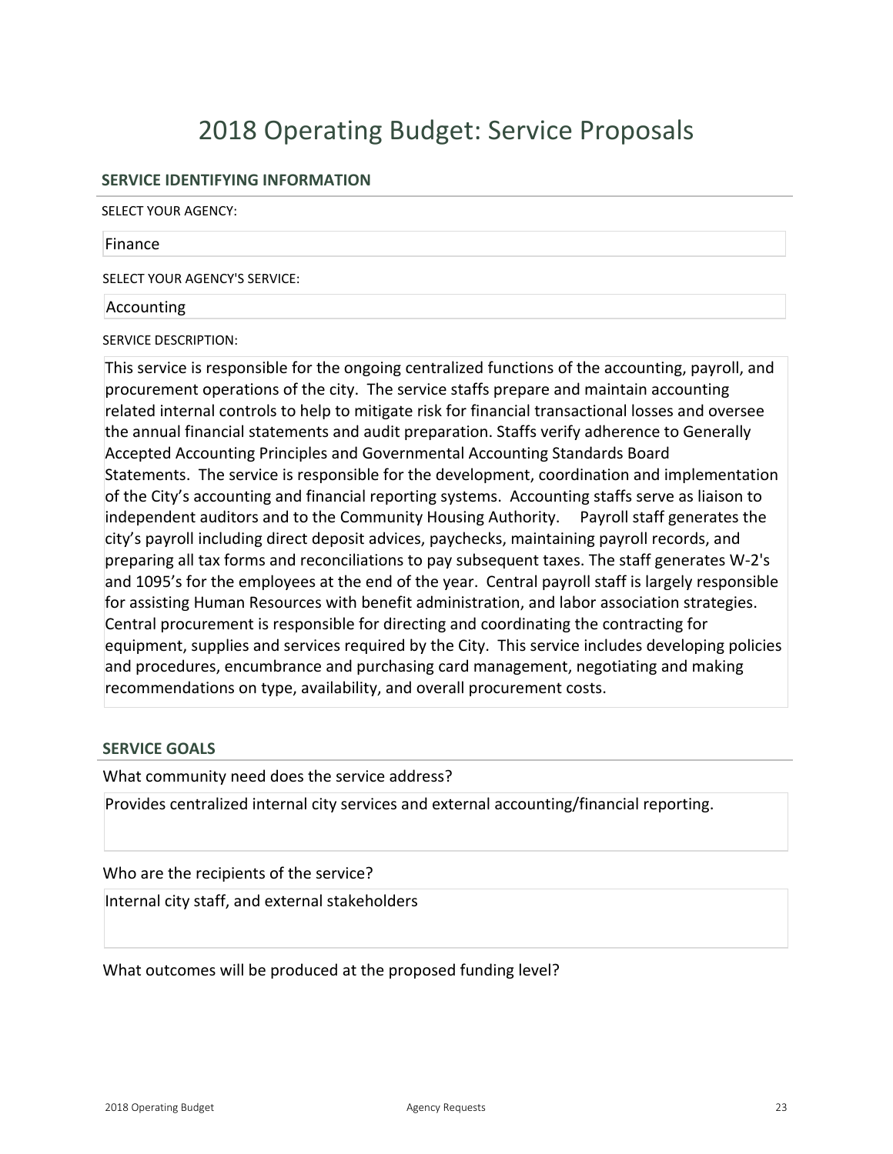# **SERVICE IDENTIFYING INFORMATION**

SELECT YOUR AGENCY:

#### Finance

SELECT YOUR AGENCY'S SERVICE:

### Accounting

SERVICE DESCRIPTION:

This service is responsible for the ongoing centralized functions of the accounting, payroll, and procurement operations of the city. The service staffs prepare and maintain accounting related internal controls to help to mitigate risk for financial transactional losses and oversee the annual financial statements and audit preparation. Staffs verify adherence to Generally Accepted Accounting Principles and Governmental Accounting Standards Board Statements. The service is responsible for the development, coordination and implementation of the City's accounting and financial reporting systems. Accounting staffs serve as liaison to independent auditors and to the Community Housing Authority. Payroll staff generates the city's payroll including direct deposit advices, paychecks, maintaining payroll records, and preparing all tax forms and reconciliations to pay subsequent taxes. The staff generates W-2's and 1095's for the employees at the end of the year. Central payroll staff is largely responsible for assisting Human Resources with benefit administration, and labor association strategies. Central procurement is responsible for directing and coordinating the contracting for equipment, supplies and services required by the City. This service includes developing policies and procedures, encumbrance and purchasing card management, negotiating and making recommendations on type, availability, and overall procurement costs.

# **SERVICE GOALS**

What community need does the service address?

Provides centralized internal city services and external accounting/financial reporting.

# Who are the recipients of the service?

Internal city staff, and external stakeholders

What outcomes will be produced at the proposed funding level?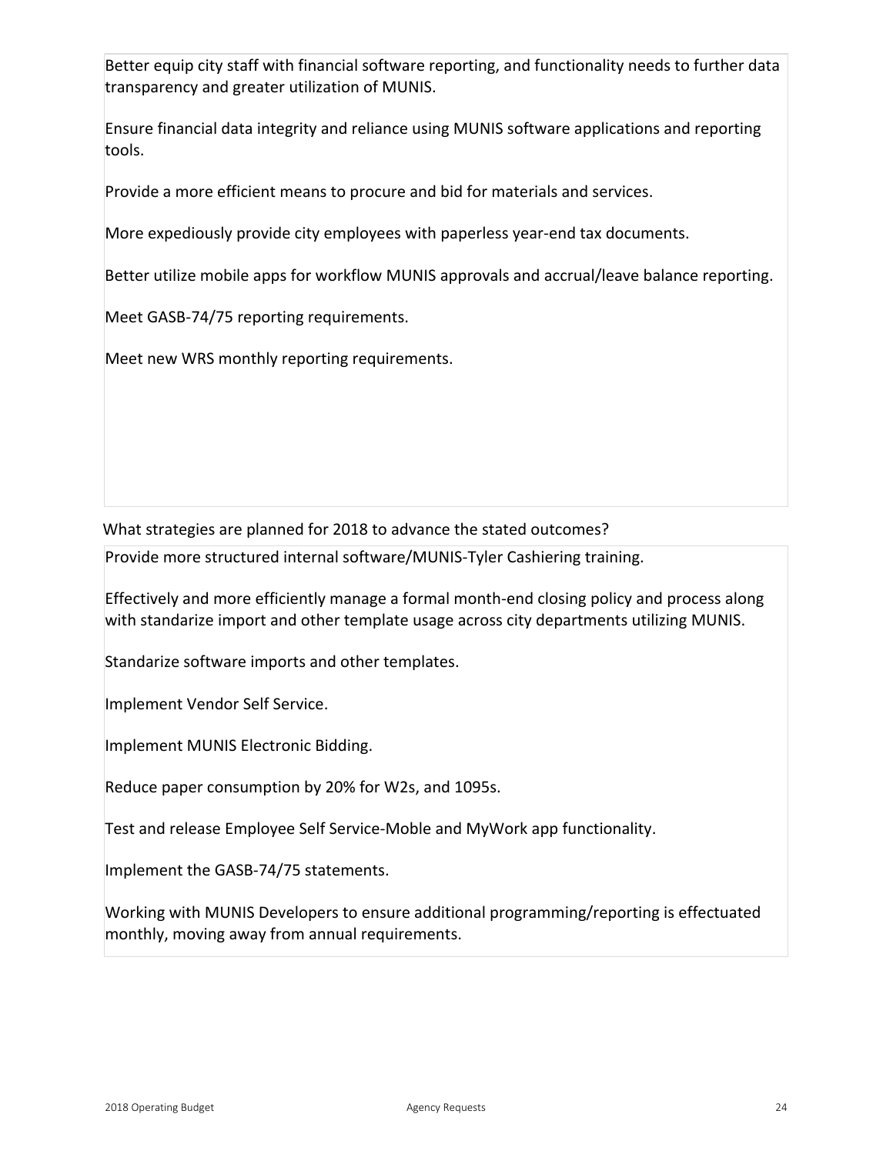Better equip city staff with financial software reporting, and functionality needs to further data transparency and greater utilization of MUNIS.

Ensure financial data integrity and reliance using MUNIS software applications and reporting tools.

Provide a more efficient means to procure and bid for materials and services.

More expediously provide city employees with paperless year-end tax documents.

Better utilize mobile apps for workflow MUNIS approvals and accrual/leave balance reporting.

Meet GASB-74/75 reporting requirements.

Meet new WRS monthly reporting requirements.

What strategies are planned for 2018 to advance the stated outcomes?

Provide more structured internal software/MUNISTyler Cashiering training.

Effectively and more efficiently manage a formal monthend closing policy and process along with standarize import and other template usage across city departments utilizing MUNIS.

Standarize software imports and other templates.

Implement Vendor Self Service.

Implement MUNIS Electronic Bidding.

Reduce paper consumption by 20% for W2s, and 1095s.

Test and release Employee Self Service-Moble and MyWork app functionality.

Implement the GASB-74/75 statements.

Working with MUNIS Developers to ensure additional programming/reporting is effectuated monthly, moving away from annual requirements.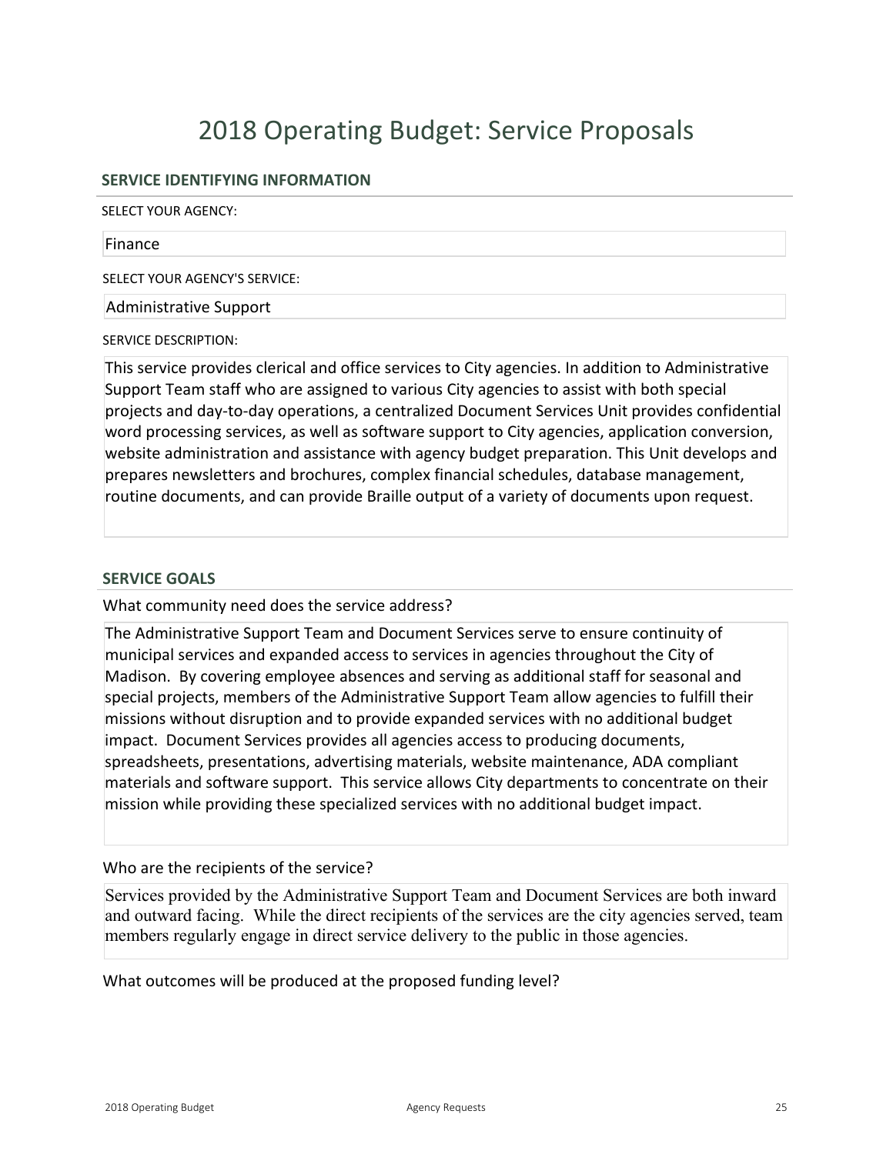# **SERVICE IDENTIFYING INFORMATION**

SELECT YOUR AGENCY:

#### Finance

SELECT YOUR AGENCY'S SERVICE:

Administrative Support

SERVICE DESCRIPTION:

This service provides clerical and office services to City agencies. In addition to Administrative Support Team staff who are assigned to various City agencies to assist with both special projects and day-to-day operations, a centralized Document Services Unit provides confidential word processing services, as well as software support to City agencies, application conversion, website administration and assistance with agency budget preparation. This Unit develops and prepares newsletters and brochures, complex financial schedules, database management, routine documents, and can provide Braille output of a variety of documents upon request.

# **SERVICE GOALS**

What community need does the service address?

The Administrative Support Team and Document Services serve to ensure continuity of municipal services and expanded access to services in agencies throughout the City of Madison. By covering employee absences and serving as additional staff for seasonal and special projects, members of the Administrative Support Team allow agencies to fulfill their missions without disruption and to provide expanded services with no additional budget impact. Document Services provides all agencies access to producing documents, spreadsheets, presentations, advertising materials, website maintenance, ADA compliant materials and software support. This service allows City departments to concentrate on their mission while providing these specialized services with no additional budget impact.

# Who are the recipients of the service?

Services provided by the Administrative Support Team and Document Services are both inward and outward facing. While the direct recipients of the services are the city agencies served, team members regularly engage in direct service delivery to the public in those agencies.

What outcomes will be produced at the proposed funding level?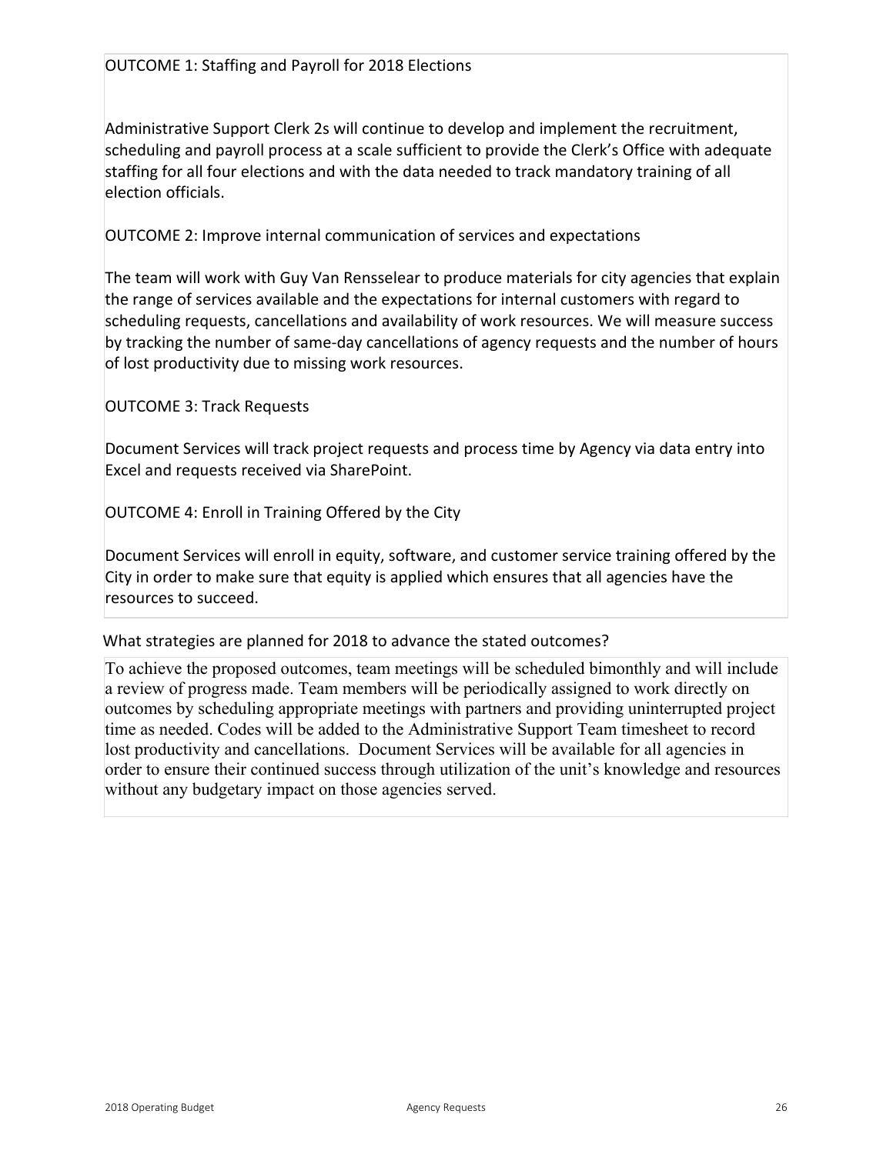Administrative Support Clerk 2s will continue to develop and implement the recruitment, scheduling and payroll process at a scale sufficient to provide the Clerk's Office with adequate staffing for all four elections and with the data needed to track mandatory training of all election officials.

OUTCOME 2: Improve internal communication of services and expectations

The team will work with Guy Van Rensselear to produce materials for city agencies that explain the range of services available and the expectations for internal customers with regard to scheduling requests, cancellations and availability of work resources. We will measure success by tracking the number of same-day cancellations of agency requests and the number of hours of lost productivity due to missing work resources.

OUTCOME 3: Track Requests

Document Services will track project requests and process time by Agency via data entry into Excel and requests received via SharePoint.

OUTCOME 4: Enroll in Training Offered by the City

Document Services will enroll in equity, software, and customer service training offered by the City in order to make sure that equity is applied which ensures that all agencies have the resources to succeed.

# What strategies are planned for 2018 to advance the stated outcomes?

To achieve the proposed outcomes, team meetings will be scheduled bimonthly and will include a review of progress made. Team members will be periodically assigned to work directly on outcomes by scheduling appropriate meetings with partners and providing uninterrupted project time as needed. Codes will be added to the Administrative Support Team timesheet to record lost productivity and cancellations. Document Services will be available for all agencies in order to ensure their continued success through utilization of the unit's knowledge and resources without any budgetary impact on those agencies served.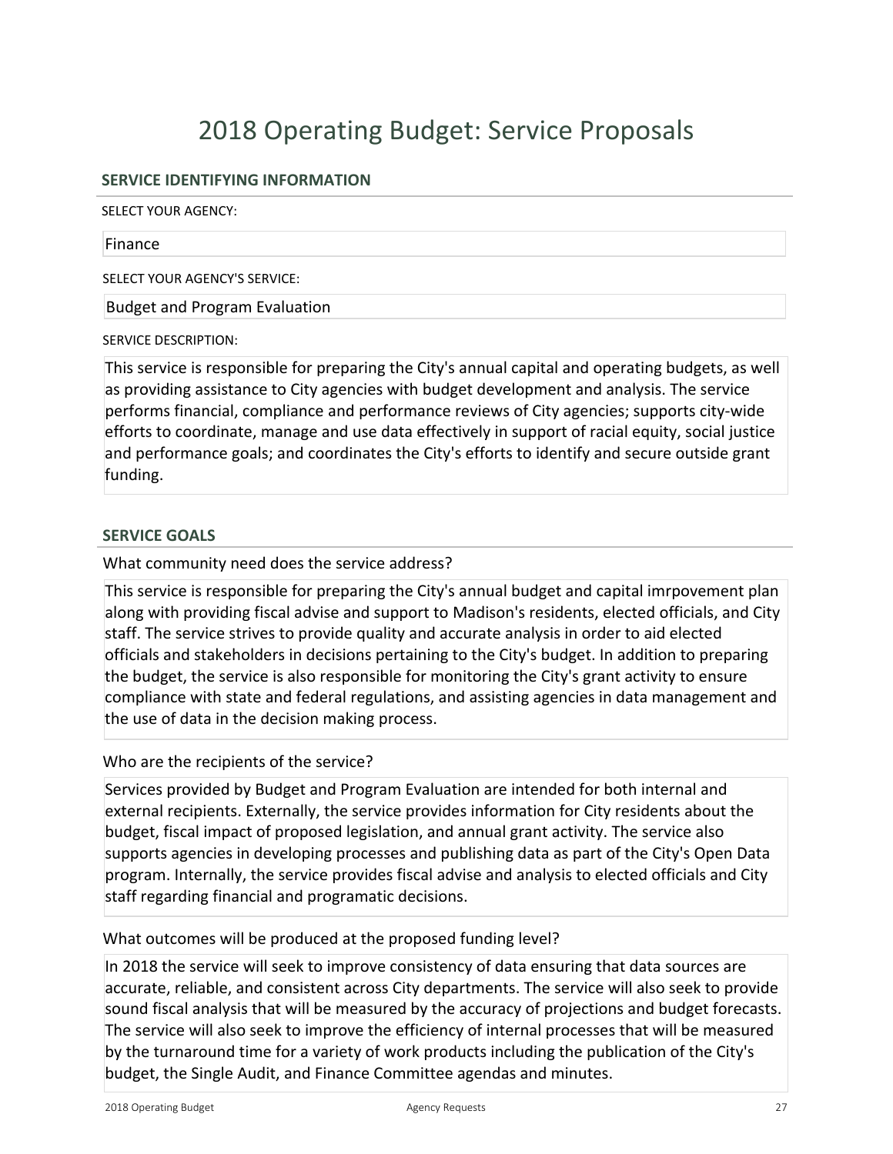# **SERVICE IDENTIFYING INFORMATION**

SELECT YOUR AGENCY:

#### Finance

SELECT YOUR AGENCY'S SERVICE:

Budget and Program Evaluation

SERVICE DESCRIPTION:

This service is responsible for preparing the City's annual capital and operating budgets, as well as providing assistance to City agencies with budget development and analysis. The service performs financial, compliance and performance reviews of City agencies; supports city-wide efforts to coordinate, manage and use data effectively in support of racial equity, social justice and performance goals; and coordinates the City's efforts to identify and secure outside grant funding.

### **SERVICE GOALS**

What community need does the service address?

This service is responsible for preparing the City's annual budget and capital imrpovement plan along with providing fiscal advise and support to Madison's residents, elected officials, and City staff. The service strives to provide quality and accurate analysis in order to aid elected officials and stakeholders in decisions pertaining to the City's budget. In addition to preparing the budget, the service is also responsible for monitoring the City's grant activity to ensure compliance with state and federal regulations, and assisting agencies in data management and the use of data in the decision making process.

# Who are the recipients of the service?

Services provided by Budget and Program Evaluation are intended for both internal and external recipients. Externally, the service provides information for City residents about the budget, fiscal impact of proposed legislation, and annual grant activity. The service also supports agencies in developing processes and publishing data as part of the City's Open Data program. Internally, the service provides fiscal advise and analysis to elected officials and City staff regarding financial and programatic decisions.

# What outcomes will be produced at the proposed funding level?

In 2018 the service will seek to improve consistency of data ensuring that data sources are accurate, reliable, and consistent across City departments. The service will also seek to provide sound fiscal analysis that will be measured by the accuracy of projections and budget forecasts. The service will also seek to improve the efficiency of internal processes that will be measured by the turnaround time for a variety of work products including the publication of the City's budget, the Single Audit, and Finance Committee agendas and minutes.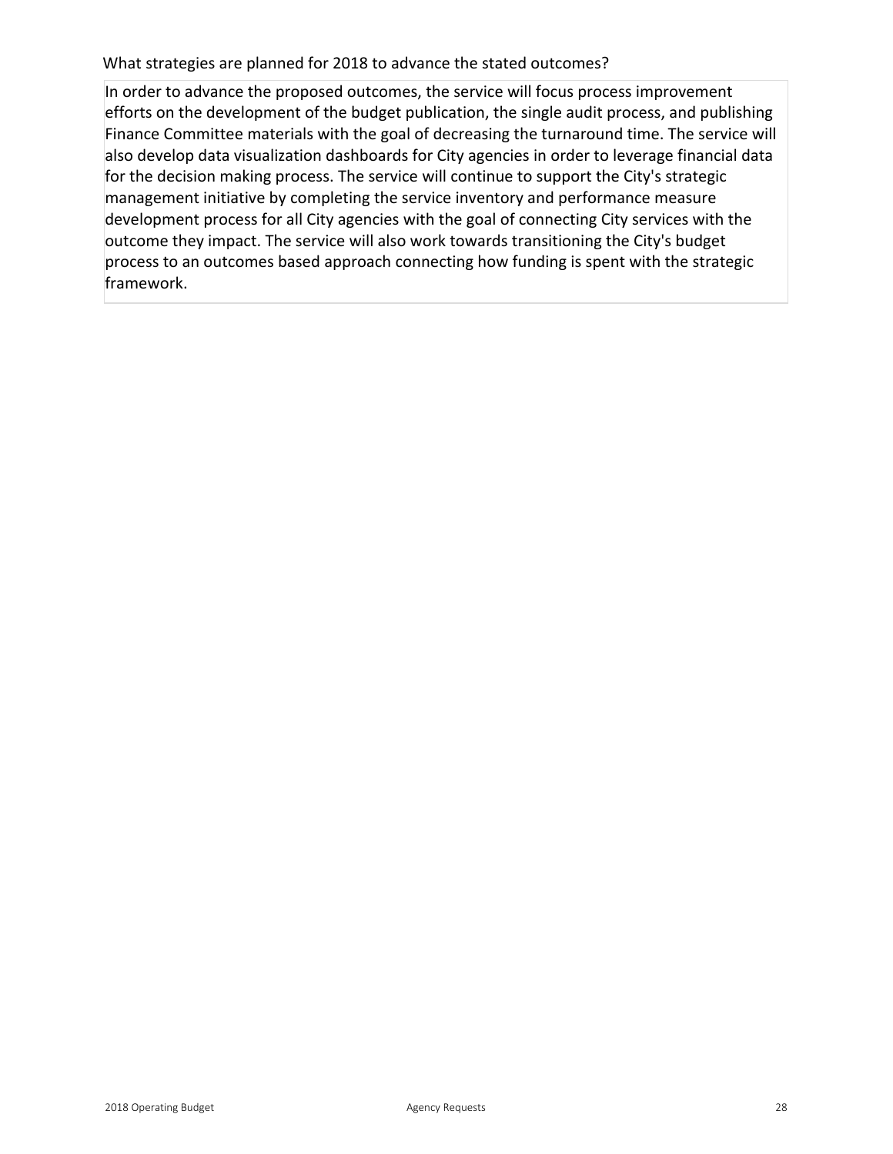What strategies are planned for 2018 to advance the stated outcomes?

In order to advance the proposed outcomes, the service will focus process improvement efforts on the development of the budget publication, the single audit process, and publishing Finance Committee materials with the goal of decreasing the turnaround time. The service will also develop data visualization dashboards for City agencies in order to leverage financial data for the decision making process. The service will continue to support the City's strategic management initiative by completing the service inventory and performance measure development process for all City agencies with the goal of connecting City services with the outcome they impact. The service will also work towards transitioning the City's budget process to an outcomes based approach connecting how funding is spent with the strategic framework.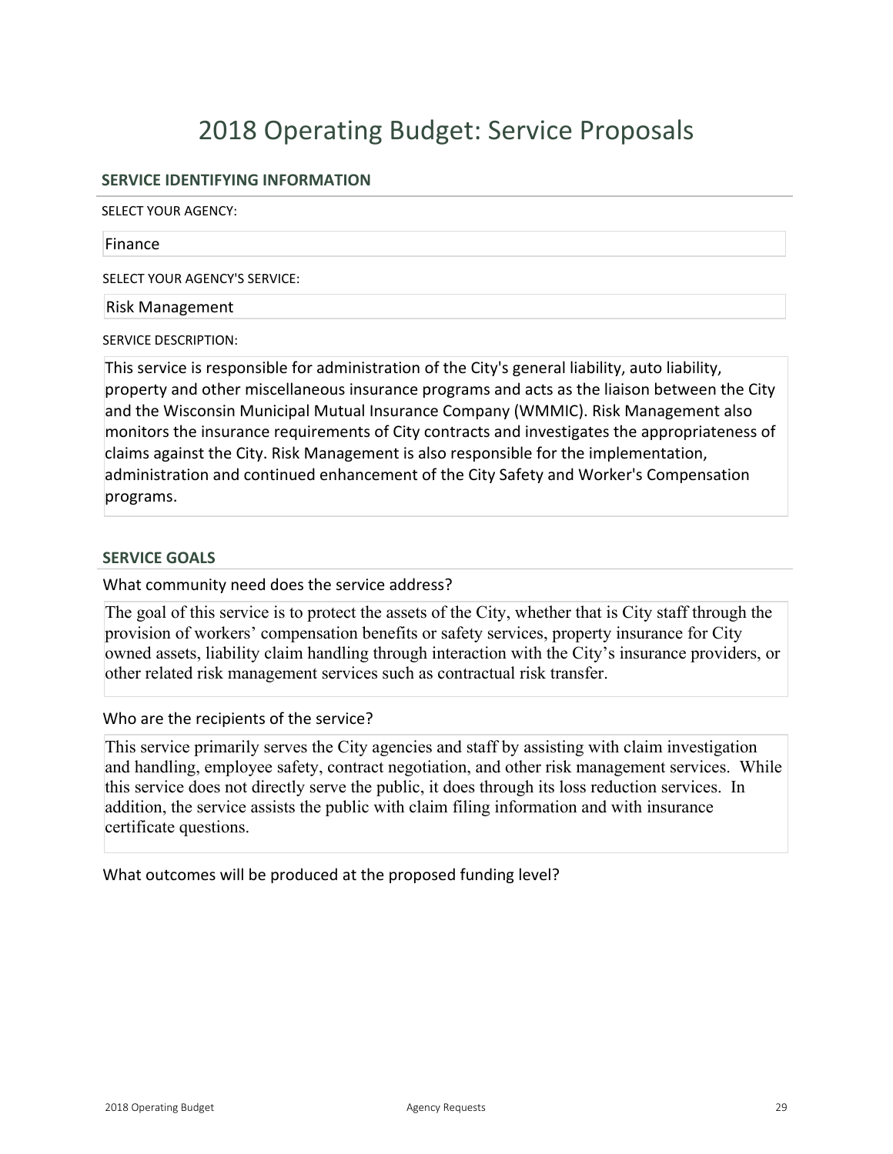# **SERVICE IDENTIFYING INFORMATION**

SELECT YOUR AGENCY:

#### Finance

SELECT YOUR AGENCY'S SERVICE:

### Risk Management

SERVICE DESCRIPTION:

This service is responsible for administration of the City's general liability, auto liability, property and other miscellaneous insurance programs and acts as the liaison between the City and the Wisconsin Municipal Mutual Insurance Company (WMMIC). Risk Management also monitors the insurance requirements of City contracts and investigates the appropriateness of claims against the City. Risk Management is also responsible for the implementation, administration and continued enhancement of the City Safety and Worker's Compensation programs.

# **SERVICE GOALS**

What community need does the service address?

The goal of this service is to protect the assets of the City, whether that is City staff through the provision of workers' compensation benefits or safety services, property insurance for City owned assets, liability claim handling through interaction with the City's insurance providers, or other related risk management services such as contractual risk transfer.

# Who are the recipients of the service?

This service primarily serves the City agencies and staff by assisting with claim investigation and handling, employee safety, contract negotiation, and other risk management services. While this service does not directly serve the public, it does through its loss reduction services. In addition, the service assists the public with claim filing information and with insurance certificate questions.

What outcomes will be produced at the proposed funding level?